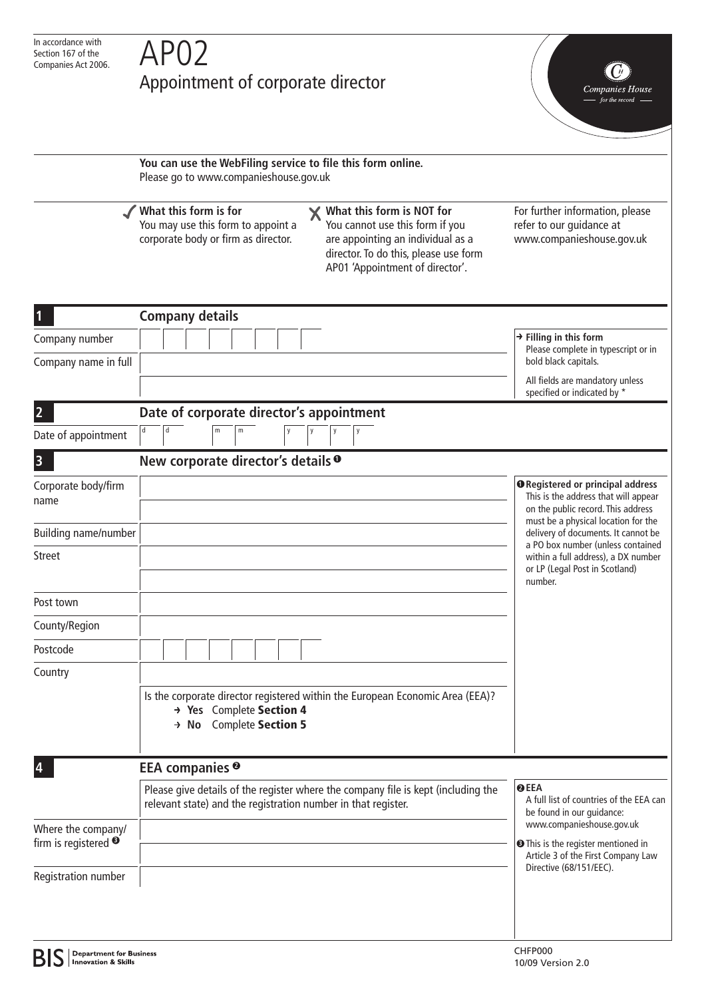## Appointment of corporate director

Companies House

**You can use the WebFiling service to file this form online.** Please go to www.companieshouse.gov.uk **What this form is for What this form is NOT for**  $\boldsymbol{\mathsf{X}}$ For further information, please You may use this form to appoint a You cannot use this form if you refer to our guidance at corporate body or firm as director. are appointing an individual as a www.companieshouse.gov.uk director. To do this, please use form AP01 'Appointment of director'. **1 Company details Filling in this form** Company number Please complete in typescript or in Company name in full bold black capitals. All fields are mandatory unless specified or indicated by \* **2 Date of corporate director's appointment** Date of appointment **3 New corporate director's details 1<sup>1</sup>** Corporate body/firm **Registered or principal address** This is the address that will appear name on the public record. This address must be a physical location for the Building name/number delivery of documents. It cannot be a PO box number (unless contained Street within a full address), a DX number or LP (Legal Post in Scotland) number. Post town County/Region Postcode Country Is the corporate director registered within the European Economic Area (EEA)? **Yes** Complete Section 4 **No** Complete Section 5 **4 EEA companies 2 EEA 2** Please give details of the register where the company file is kept (including the A full list of countries of the EEA can relevant state) and the registration number in that register. be found in our guidance: www.companieshouse.gov.uk Where the company/ firm is registered <sup>®</sup> **<sup>3</sup> <sup>3</sup>**  $\odot$  This is the register mentioned in Article 3 of the First Company Law Directive (68/151/EEC). Registration number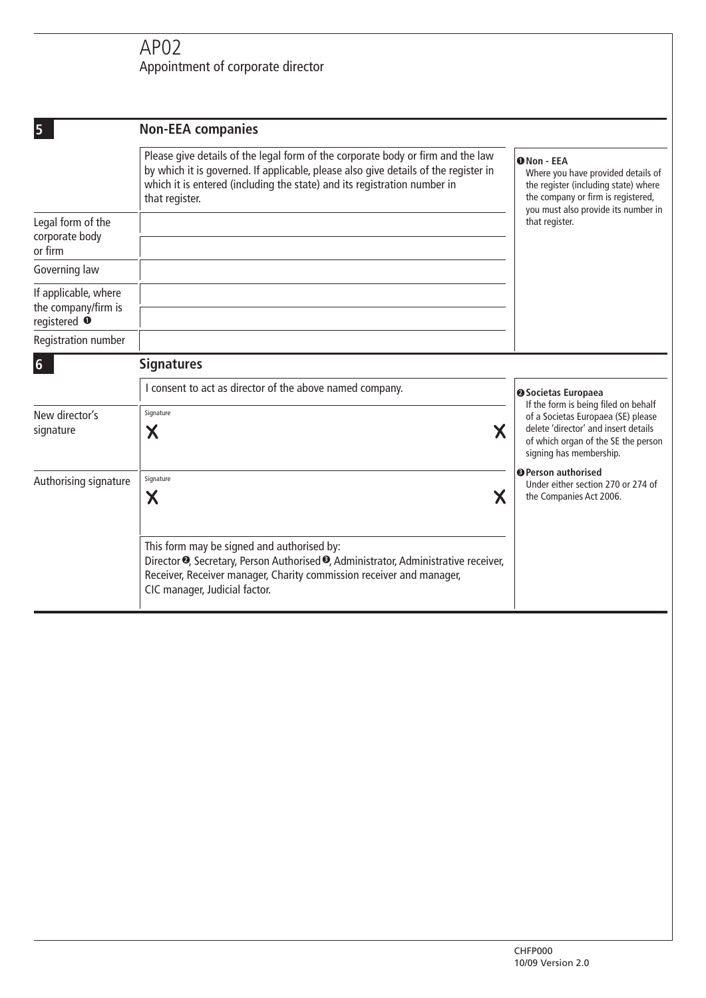## AP02 Appointment of corporate director

| 5                                                                      | <b>Non-EEA companies</b>                                                                                                                                                                                                                                             |                                                                                                                                                                                                 |
|------------------------------------------------------------------------|----------------------------------------------------------------------------------------------------------------------------------------------------------------------------------------------------------------------------------------------------------------------|-------------------------------------------------------------------------------------------------------------------------------------------------------------------------------------------------|
|                                                                        | Please give details of the legal form of the corporate body or firm and the law<br>by which it is governed. If applicable, please also give details of the register in<br>which it is entered (including the state) and its registration number in<br>that register. | <b>O</b> Non - EEA<br>Where you have provided details of<br>the register (including state) where<br>the company or firm is registered,<br>you must also provide its number in<br>that register. |
| Legal form of the<br>corporate body<br>or firm                         |                                                                                                                                                                                                                                                                      |                                                                                                                                                                                                 |
| Governing law                                                          |                                                                                                                                                                                                                                                                      |                                                                                                                                                                                                 |
| If applicable, where<br>the company/firm is<br>registered <sup>O</sup> |                                                                                                                                                                                                                                                                      |                                                                                                                                                                                                 |
| Registration number                                                    |                                                                                                                                                                                                                                                                      |                                                                                                                                                                                                 |
| $6\phantom{1}$                                                         | <b>Signatures</b>                                                                                                                                                                                                                                                    |                                                                                                                                                                                                 |
|                                                                        | I consent to act as director of the above named company.                                                                                                                                                                                                             | <b>@Societas Europaea</b><br>If the form is being filed on behalf                                                                                                                               |
| New director's<br>signature                                            | Signature<br>Χ<br>Χ                                                                                                                                                                                                                                                  | of a Societas Europaea (SE) please<br>delete 'director' and insert details<br>of which organ of the SE the person<br>signing has membership.                                                    |
| Authorising signature                                                  | Signature<br>$\boldsymbol{\mathsf{X}}$<br>Х                                                                                                                                                                                                                          | <b>O</b> Person authorised<br>Under either section 270 or 274 of<br>the Companies Act 2006.                                                                                                     |
|                                                                        | This form may be signed and authorised by:<br>Director <sup>•</sup> , Secretary, Person Authorised •, Administrator, Administrative receiver,<br>Receiver, Receiver manager, Charity commission receiver and manager,<br>CIC manager, Judicial factor.               |                                                                                                                                                                                                 |